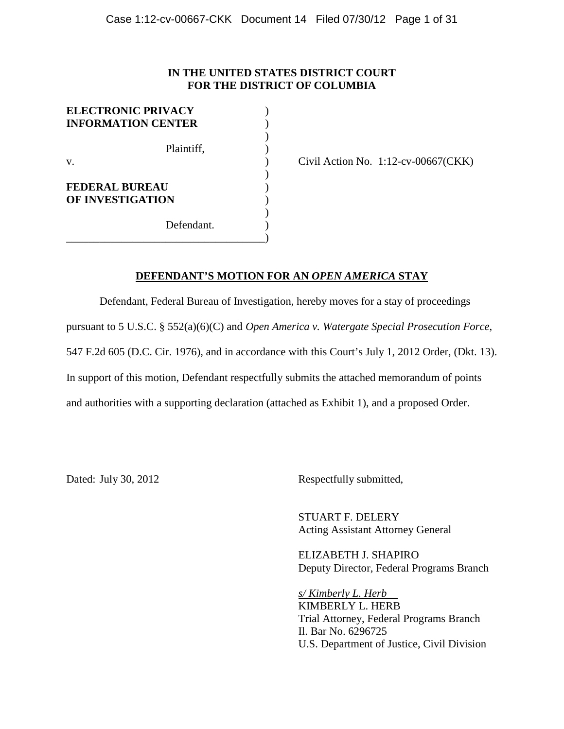# **IN THE UNITED STATES DISTRICT COURT FOR THE DISTRICT OF COLUMBIA**

| <b>ELECTRONIC PRIVACY</b><br><b>INFORMATION CENTER</b> |  |
|--------------------------------------------------------|--|
| Plaintiff,<br>$V_{\cdot}$                              |  |
| <b>FEDERAL BUREAU</b><br><b>OF INVESTIGATION</b>       |  |
| Defendant.                                             |  |

Civil Action No.  $1:12$ -cv-00667(CKK)

## **DEFENDANT'S MOTION FOR AN** *OPEN AMERICA* **STAY**

Defendant, Federal Bureau of Investigation, hereby moves for a stay of proceedings pursuant to 5 U.S.C. § 552(a)(6)(C) and *Open America v. Watergate Special Prosecution Force*, 547 F.2d 605 (D.C. Cir. 1976), and in accordance with this Court's July 1, 2012 Order, (Dkt. 13). In support of this motion, Defendant respectfully submits the attached memorandum of points and authorities with a supporting declaration (attached as Exhibit 1), and a proposed Order.

Dated: July 30, 2012 Respectfully submitted,

STUART F. DELERY Acting Assistant Attorney General

ELIZABETH J. SHAPIRO Deputy Director, Federal Programs Branch

*s/ Kimberly L. Herb*  KIMBERLY L. HERB Trial Attorney, Federal Programs Branch Il. Bar No. 6296725 U.S. Department of Justice, Civil Division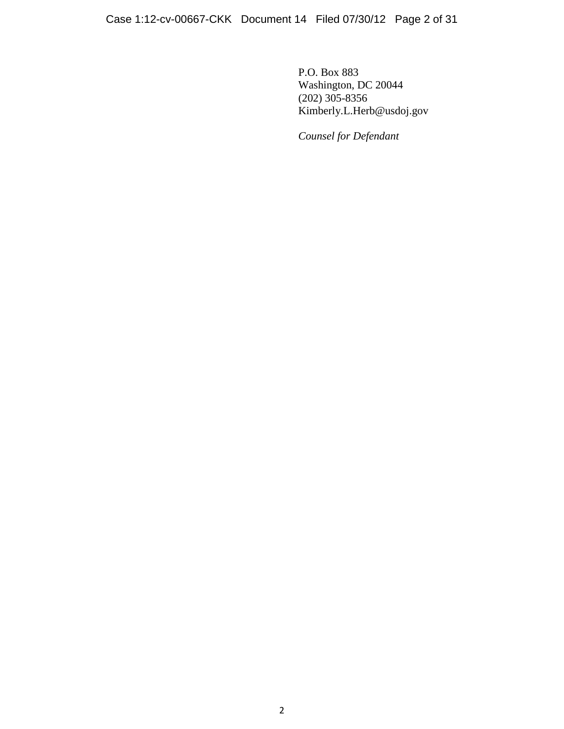P.O. Box 883 Washington, DC 20044 (202) 305-8356 Kimberly.L.Herb@usdoj.gov

*Counsel for Defendant*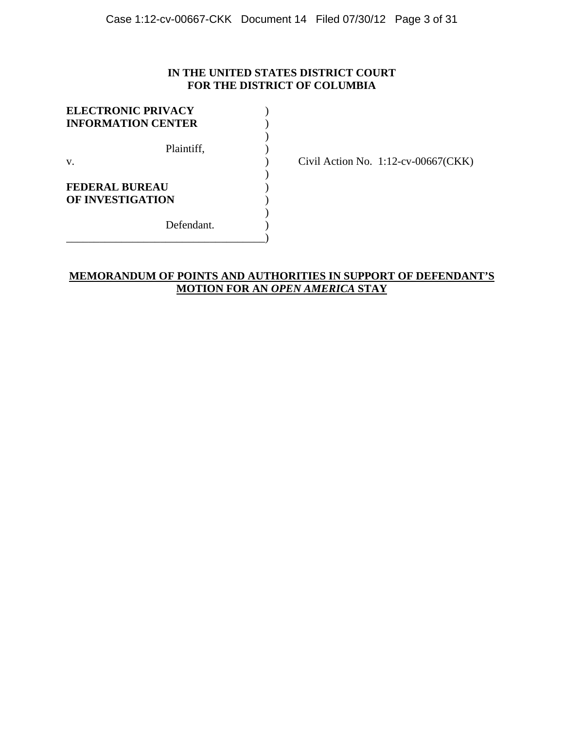# **IN THE UNITED STATES DISTRICT COURT FOR THE DISTRICT OF COLUMBIA**

| <b>ELECTRONIC PRIVACY</b><br><b>INFORMATION CENTER</b> |  |
|--------------------------------------------------------|--|
| Plaintiff,<br>V.                                       |  |
| FEDERAL BUREAU<br>OF INVESTIGATION                     |  |
| Defendant.                                             |  |

Civil Action No. 1:12-cv-00667(CKK)

# **MEMORANDUM OF POINTS AND AUTHORITIES IN SUPPORT OF DEFENDANT'S MOTION FOR AN** *OPEN AMERICA* **STAY**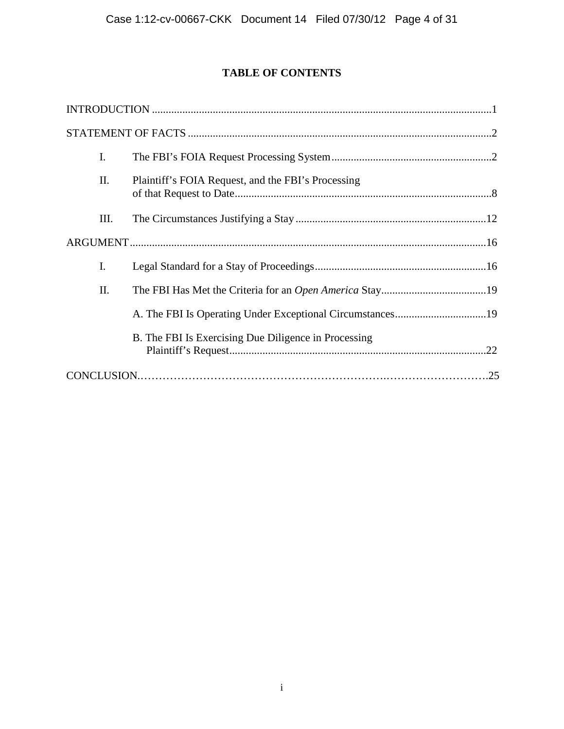# **TABLE OF CONTENTS**

| I.   |                                                           |  |
|------|-----------------------------------------------------------|--|
| П.   | Plaintiff's FOIA Request, and the FBI's Processing        |  |
| III. |                                                           |  |
|      |                                                           |  |
| I.   |                                                           |  |
| II.  |                                                           |  |
|      | A. The FBI Is Operating Under Exceptional Circumstances19 |  |
|      | B. The FBI Is Exercising Due Diligence in Processing      |  |
|      |                                                           |  |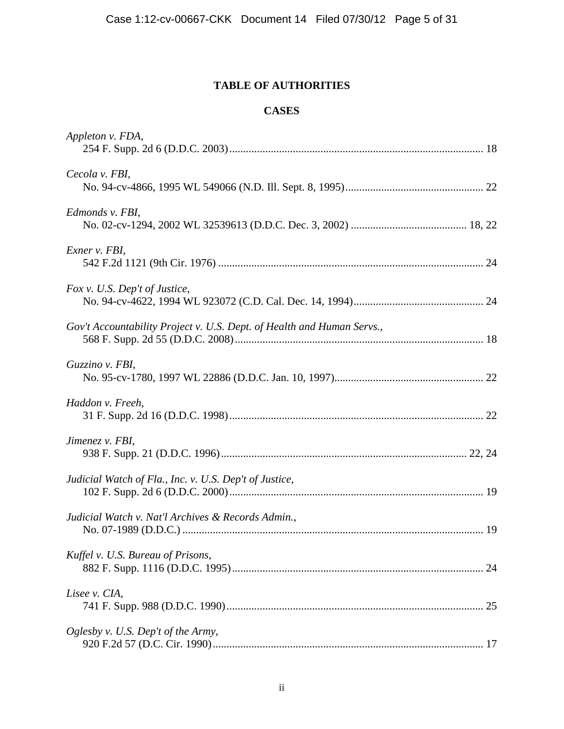# **TABLE OF AUTHORITIES**

# **CASES**

| Appleton v. FDA,                                                       |    |
|------------------------------------------------------------------------|----|
| Cecola v. FBI,                                                         |    |
| Edmonds v. FBI,                                                        |    |
| Exner v. FBI,                                                          |    |
| Fox v. U.S. Dep't of Justice,                                          |    |
| Gov't Accountability Project v. U.S. Dept. of Health and Human Servs., |    |
| Guzzino v. FBI,                                                        |    |
| Haddon v. Freeh,                                                       |    |
| Jimenez v. FBI,                                                        |    |
| Judicial Watch of Fla., Inc. v. U.S. Dep't of Justice,                 |    |
| Judicial Watch v. Nat'l Archives & Records Admin.,                     |    |
| Kuffel v. U.S. Bureau of Prisons,                                      | 24 |
| Lisee v. CIA,                                                          |    |
| Oglesby v. U.S. Dep't of the Army,                                     |    |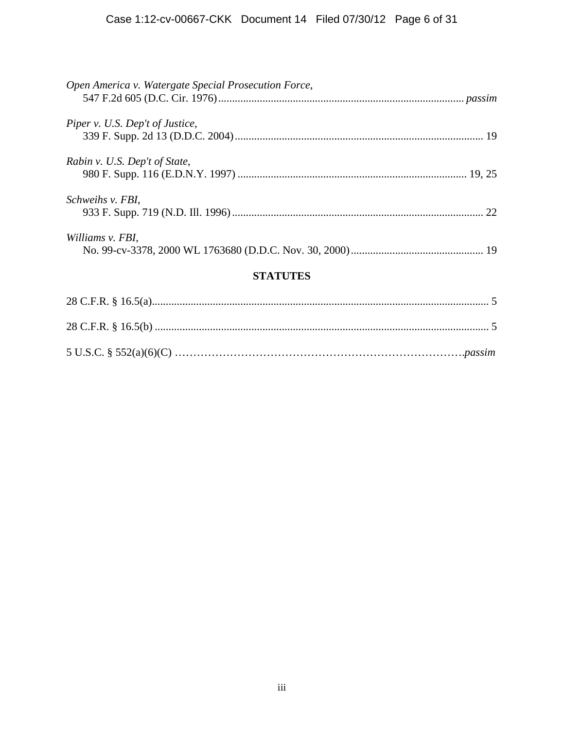| Open America v. Watergate Special Prosecution Force, |  |  |
|------------------------------------------------------|--|--|
| Piper v. U.S. Dep't of Justice,                      |  |  |
| Rabin v. U.S. Dep't of State,                        |  |  |
| Schweihs v. FBI,                                     |  |  |
| Williams v. FBI,                                     |  |  |
| <b>STATUTES</b>                                      |  |  |
|                                                      |  |  |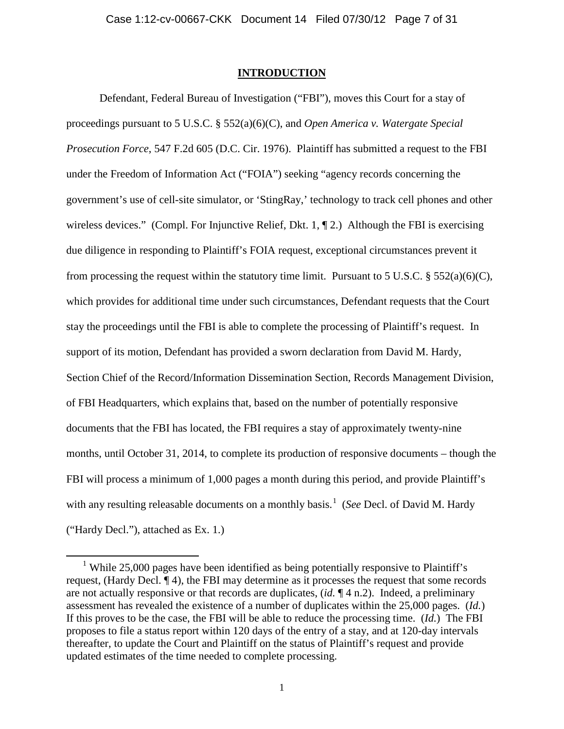### **INTRODUCTION**

Defendant, Federal Bureau of Investigation ("FBI"), moves this Court for a stay of proceedings pursuant to 5 U.S.C. § 552(a)(6)(C), and *Open America v. Watergate Special Prosecution Force*, 547 F.2d 605 (D.C. Cir. 1976). Plaintiff has submitted a request to the FBI under the Freedom of Information Act ("FOIA") seeking "agency records concerning the government's use of cell-site simulator, or 'StingRay,' technology to track cell phones and other wireless devices." (Compl. For Injunctive Relief, Dkt. 1, 1, 2.) Although the FBI is exercising due diligence in responding to Plaintiff's FOIA request, exceptional circumstances prevent it from processing the request within the statutory time limit. Pursuant to 5 U.S.C.  $\S 552(a)(6)(C)$ , which provides for additional time under such circumstances, Defendant requests that the Court stay the proceedings until the FBI is able to complete the processing of Plaintiff's request. In support of its motion, Defendant has provided a sworn declaration from David M. Hardy, Section Chief of the Record/Information Dissemination Section, Records Management Division, of FBI Headquarters, which explains that, based on the number of potentially responsive documents that the FBI has located, the FBI requires a stay of approximately twenty-nine months, until October 31, 2014, to complete its production of responsive documents – though the FBI will process a minimum of 1,000 pages a month during this period, and provide Plaintiff's with any resulting releasable documents on a monthly basis.<sup>[1](#page-6-0)</sup> (See Decl. of David M. Hardy ("Hardy Decl."), attached as Ex. 1.)

<span id="page-6-0"></span><sup>&</sup>lt;sup>1</sup> While 25,000 pages have been identified as being potentially responsive to Plaintiff's request, (Hardy Decl. ¶ 4), the FBI may determine as it processes the request that some records are not actually responsive or that records are duplicates, (*id.* ¶ 4 n.2). Indeed, a preliminary assessment has revealed the existence of a number of duplicates within the 25,000 pages. (*Id.*) If this proves to be the case, the FBI will be able to reduce the processing time. (*Id.*) The FBI proposes to file a status report within 120 days of the entry of a stay, and at 120-day intervals thereafter, to update the Court and Plaintiff on the status of Plaintiff's request and provide updated estimates of the time needed to complete processing.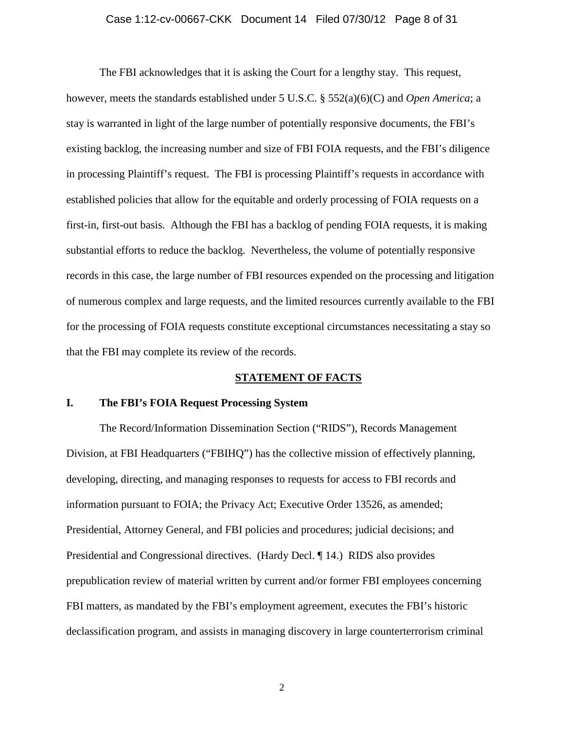#### Case 1:12-cv-00667-CKK Document 14 Filed 07/30/12 Page 8 of 31

The FBI acknowledges that it is asking the Court for a lengthy stay. This request, however, meets the standards established under 5 U.S.C. § 552(a)(6)(C) and *Open America*; a stay is warranted in light of the large number of potentially responsive documents, the FBI's existing backlog, the increasing number and size of FBI FOIA requests, and the FBI's diligence in processing Plaintiff's request. The FBI is processing Plaintiff's requests in accordance with established policies that allow for the equitable and orderly processing of FOIA requests on a first-in, first-out basis. Although the FBI has a backlog of pending FOIA requests, it is making substantial efforts to reduce the backlog. Nevertheless, the volume of potentially responsive records in this case, the large number of FBI resources expended on the processing and litigation of numerous complex and large requests, and the limited resources currently available to the FBI for the processing of FOIA requests constitute exceptional circumstances necessitating a stay so that the FBI may complete its review of the records.

### **STATEMENT OF FACTS**

## **I. The FBI's FOIA Request Processing System**

The Record/Information Dissemination Section ("RIDS"), Records Management Division, at FBI Headquarters ("FBIHQ") has the collective mission of effectively planning, developing, directing, and managing responses to requests for access to FBI records and information pursuant to FOIA; the Privacy Act; Executive Order 13526, as amended; Presidential, Attorney General, and FBI policies and procedures; judicial decisions; and Presidential and Congressional directives. (Hardy Decl. ¶ 14.) RIDS also provides prepublication review of material written by current and/or former FBI employees concerning FBI matters, as mandated by the FBI's employment agreement, executes the FBI's historic declassification program, and assists in managing discovery in large counterterrorism criminal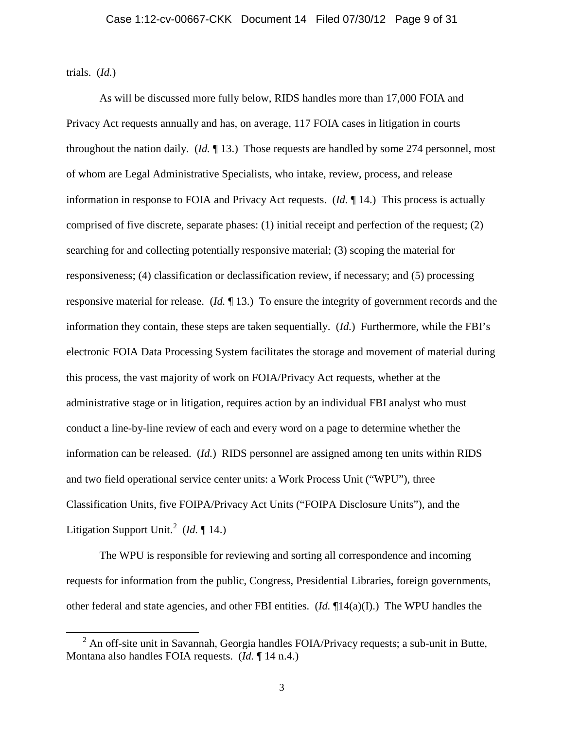trials. (*Id.*)

As will be discussed more fully below, RIDS handles more than 17,000 FOIA and Privacy Act requests annually and has, on average, 117 FOIA cases in litigation in courts throughout the nation daily. (*Id.* ¶ 13.) Those requests are handled by some 274 personnel, most of whom are Legal Administrative Specialists, who intake, review, process, and release information in response to FOIA and Privacy Act requests. (*Id.* ¶ 14.) This process is actually comprised of five discrete, separate phases: (1) initial receipt and perfection of the request; (2) searching for and collecting potentially responsive material; (3) scoping the material for responsiveness; (4) classification or declassification review, if necessary; and (5) processing responsive material for release. (*Id.* ¶ 13.) To ensure the integrity of government records and the information they contain, these steps are taken sequentially. (*Id.*) Furthermore, while the FBI's electronic FOIA Data Processing System facilitates the storage and movement of material during this process, the vast majority of work on FOIA/Privacy Act requests, whether at the administrative stage or in litigation, requires action by an individual FBI analyst who must conduct a line-by-line review of each and every word on a page to determine whether the information can be released. (*Id.*) RIDS personnel are assigned among ten units within RIDS and two field operational service center units: a Work Process Unit ("WPU"), three Classification Units, five FOIPA/Privacy Act Units ("FOIPA Disclosure Units"), and the Litigation Support Unit. [2](#page-8-0) (*Id.* ¶ 14.)

The WPU is responsible for reviewing and sorting all correspondence and incoming requests for information from the public, Congress, Presidential Libraries, foreign governments, other federal and state agencies, and other FBI entities. (*Id.* ¶14(a)(I).) The WPU handles the

<span id="page-8-0"></span> $2$  An off-site unit in Savannah, Georgia handles FOIA/Privacy requests; a sub-unit in Butte, Montana also handles FOIA requests. (*Id.* ¶ 14 n.4.)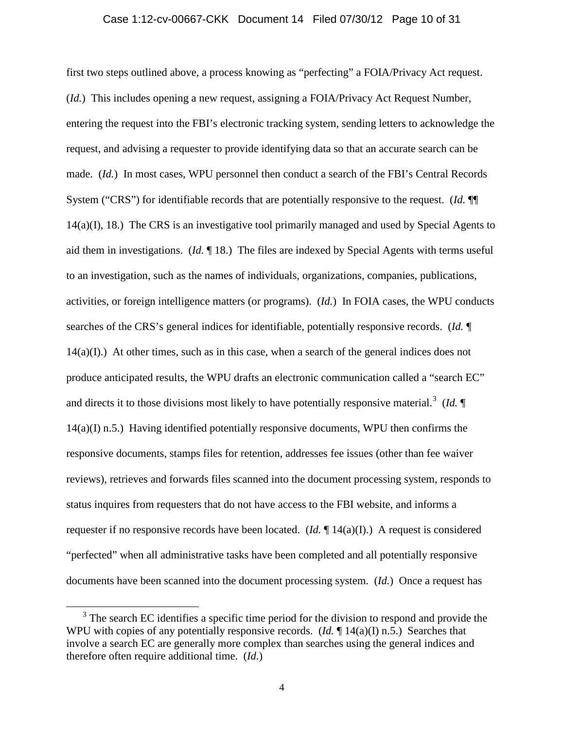#### Case 1:12-cv-00667-CKK Document 14 Filed 07/30/12 Page 10 of 31

first two steps outlined above, a process knowing as "perfecting" a FOIA/Privacy Act request. (*Id.*) This includes opening a new request, assigning a FOIA/Privacy Act Request Number, entering the request into the FBI's electronic tracking system, sending letters to acknowledge the request, and advising a requester to provide identifying data so that an accurate search can be made. (*Id.*) In most cases, WPU personnel then conduct a search of the FBI's Central Records System ("CRS") for identifiable records that are potentially responsive to the request. (*Id.* ¶¶ 14(a)(I), 18.) The CRS is an investigative tool primarily managed and used by Special Agents to aid them in investigations. (*Id.* ¶ 18.) The files are indexed by Special Agents with terms useful to an investigation, such as the names of individuals, organizations, companies, publications, activities, or foreign intelligence matters (or programs). (*Id.*) In FOIA cases, the WPU conducts searches of the CRS's general indices for identifiable, potentially responsive records. (*Id.* ¶  $14(a)(I)$ .) At other times, such as in this case, when a search of the general indices does not produce anticipated results, the WPU drafts an electronic communication called a "search EC" and directs it to those divisions most likely to have potentially responsive material.<sup>[3](#page-9-0)</sup> (*Id.*  $\P$  $14(a)(I)$  n.5.) Having identified potentially responsive documents, WPU then confirms the responsive documents, stamps files for retention, addresses fee issues (other than fee waiver reviews), retrieves and forwards files scanned into the document processing system, responds to status inquires from requesters that do not have access to the FBI website, and informs a requester if no responsive records have been located. (*Id.* ¶ 14(a)(I).) A request is considered "perfected" when all administrative tasks have been completed and all potentially responsive documents have been scanned into the document processing system. (*Id.*) Once a request has

<span id="page-9-0"></span><sup>&</sup>lt;sup>3</sup> The search EC identifies a specific time period for the division to respond and provide the WPU with copies of any potentially responsive records. (*Id.*  $\P$  14(a)(I) n.5.) Searches that involve a search EC are generally more complex than searches using the general indices and therefore often require additional time. (*Id.*)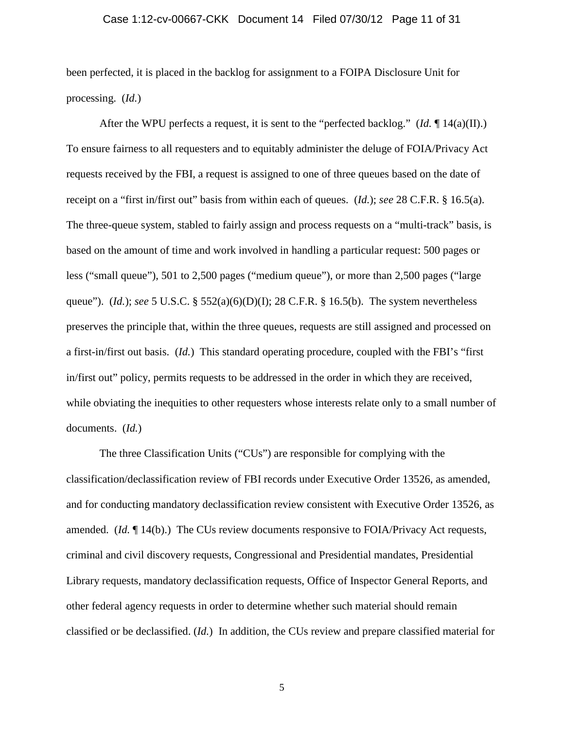#### Case 1:12-cv-00667-CKK Document 14 Filed 07/30/12 Page 11 of 31

been perfected, it is placed in the backlog for assignment to a FOIPA Disclosure Unit for processing. (*Id.*)

After the WPU perfects a request, it is sent to the "perfected backlog." ( $Id$ .  $\P$  14(a)(II).) To ensure fairness to all requesters and to equitably administer the deluge of FOIA/Privacy Act requests received by the FBI, a request is assigned to one of three queues based on the date of receipt on a "first in/first out" basis from within each of queues. (*Id.*); *see* 28 C.F.R. § 16.5(a). The three-queue system, stabled to fairly assign and process requests on a "multi-track" basis, is based on the amount of time and work involved in handling a particular request: 500 pages or less ("small queue"), 501 to 2,500 pages ("medium queue"), or more than 2,500 pages ("large queue"). (*Id.*); *see* 5 U.S.C. § 552(a)(6)(D)(I); 28 C.F.R. § 16.5(b). The system nevertheless preserves the principle that, within the three queues, requests are still assigned and processed on a first-in/first out basis. (*Id.*) This standard operating procedure, coupled with the FBI's "first in/first out" policy, permits requests to be addressed in the order in which they are received, while obviating the inequities to other requesters whose interests relate only to a small number of documents. (*Id.*)

The three Classification Units ("CUs") are responsible for complying with the classification/declassification review of FBI records under Executive Order 13526, as amended, and for conducting mandatory declassification review consistent with Executive Order 13526, as amended. (*Id.* ¶ 14(b).) The CUs review documents responsive to FOIA/Privacy Act requests, criminal and civil discovery requests, Congressional and Presidential mandates, Presidential Library requests, mandatory declassification requests, Office of Inspector General Reports, and other federal agency requests in order to determine whether such material should remain classified or be declassified. (*Id.*) In addition, the CUs review and prepare classified material for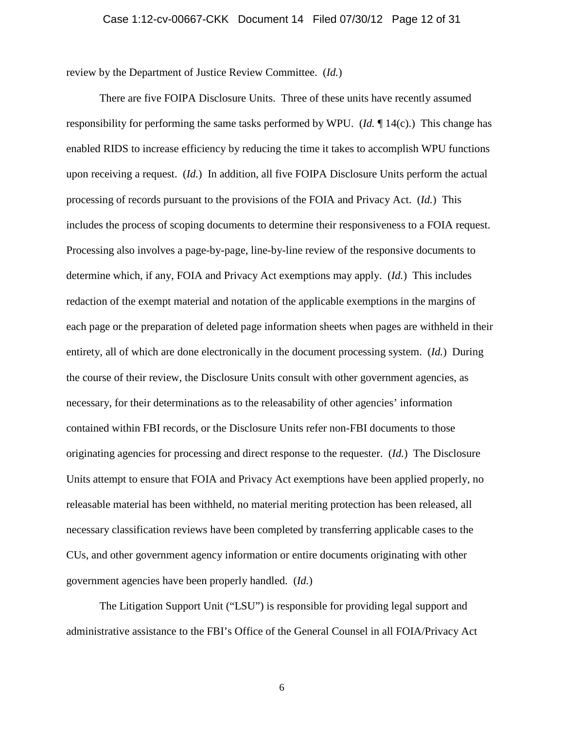#### Case 1:12-cv-00667-CKK Document 14 Filed 07/30/12 Page 12 of 31

review by the Department of Justice Review Committee. (*Id.*)

There are five FOIPA Disclosure Units. Three of these units have recently assumed responsibility for performing the same tasks performed by WPU. (*Id.* ¶ 14(c).) This change has enabled RIDS to increase efficiency by reducing the time it takes to accomplish WPU functions upon receiving a request. (*Id.*) In addition, all five FOIPA Disclosure Units perform the actual processing of records pursuant to the provisions of the FOIA and Privacy Act. (*Id.*) This includes the process of scoping documents to determine their responsiveness to a FOIA request. Processing also involves a page-by-page, line-by-line review of the responsive documents to determine which, if any, FOIA and Privacy Act exemptions may apply. (*Id.*) This includes redaction of the exempt material and notation of the applicable exemptions in the margins of each page or the preparation of deleted page information sheets when pages are withheld in their entirety, all of which are done electronically in the document processing system. (*Id.*) During the course of their review, the Disclosure Units consult with other government agencies, as necessary, for their determinations as to the releasability of other agencies' information contained within FBI records, or the Disclosure Units refer non-FBI documents to those originating agencies for processing and direct response to the requester. (*Id.*) The Disclosure Units attempt to ensure that FOIA and Privacy Act exemptions have been applied properly, no releasable material has been withheld, no material meriting protection has been released, all necessary classification reviews have been completed by transferring applicable cases to the CUs, and other government agency information or entire documents originating with other government agencies have been properly handled. (*Id.*)

The Litigation Support Unit ("LSU") is responsible for providing legal support and administrative assistance to the FBI's Office of the General Counsel in all FOIA/Privacy Act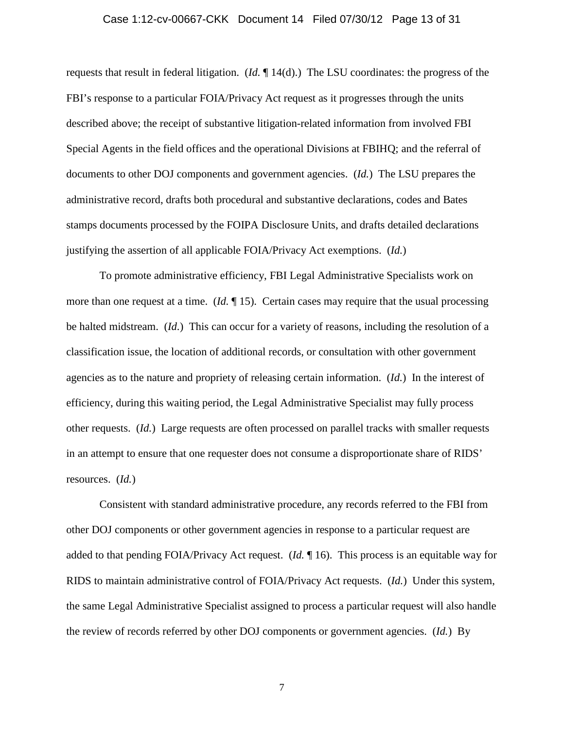#### Case 1:12-cv-00667-CKK Document 14 Filed 07/30/12 Page 13 of 31

requests that result in federal litigation. (*Id.* ¶ 14(d).) The LSU coordinates: the progress of the FBI's response to a particular FOIA/Privacy Act request as it progresses through the units described above; the receipt of substantive litigation-related information from involved FBI Special Agents in the field offices and the operational Divisions at FBIHQ; and the referral of documents to other DOJ components and government agencies. (*Id.*) The LSU prepares the administrative record, drafts both procedural and substantive declarations, codes and Bates stamps documents processed by the FOIPA Disclosure Units, and drafts detailed declarations justifying the assertion of all applicable FOIA/Privacy Act exemptions. (*Id.*)

To promote administrative efficiency, FBI Legal Administrative Specialists work on more than one request at a time. (*Id.* ¶ 15). Certain cases may require that the usual processing be halted midstream. (*Id.*) This can occur for a variety of reasons, including the resolution of a classification issue, the location of additional records, or consultation with other government agencies as to the nature and propriety of releasing certain information. (*Id.*) In the interest of efficiency, during this waiting period, the Legal Administrative Specialist may fully process other requests. (*Id.*) Large requests are often processed on parallel tracks with smaller requests in an attempt to ensure that one requester does not consume a disproportionate share of RIDS' resources. (*Id.*)

Consistent with standard administrative procedure, any records referred to the FBI from other DOJ components or other government agencies in response to a particular request are added to that pending FOIA/Privacy Act request. (*Id.* ¶ 16). This process is an equitable way for RIDS to maintain administrative control of FOIA/Privacy Act requests. (*Id.*) Under this system, the same Legal Administrative Specialist assigned to process a particular request will also handle the review of records referred by other DOJ components or government agencies. (*Id.*) By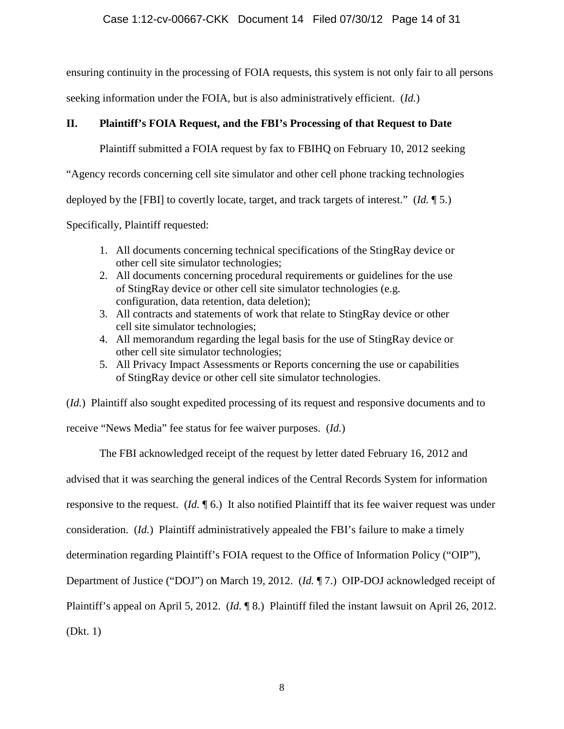ensuring continuity in the processing of FOIA requests, this system is not only fair to all persons

seeking information under the FOIA, but is also administratively efficient. (*Id.*)

# **II. Plaintiff's FOIA Request, and the FBI's Processing of that Request to Date**

Plaintiff submitted a FOIA request by fax to FBIHQ on February 10, 2012 seeking

"Agency records concerning cell site simulator and other cell phone tracking technologies

deployed by the [FBI] to covertly locate, target, and track targets of interest." (*Id.* ¶ 5.)

Specifically, Plaintiff requested:

- 1. All documents concerning technical specifications of the StingRay device or other cell site simulator technologies;
- 2. All documents concerning procedural requirements or guidelines for the use of StingRay device or other cell site simulator technologies (e.g. configuration, data retention, data deletion);
- 3. All contracts and statements of work that relate to StingRay device or other cell site simulator technologies;
- 4. All memorandum regarding the legal basis for the use of StingRay device or other cell site simulator technologies;
- 5. All Privacy Impact Assessments or Reports concerning the use or capabilities of StingRay device or other cell site simulator technologies.

(*Id.*) Plaintiff also sought expedited processing of its request and responsive documents and to receive "News Media" fee status for fee waiver purposes. (*Id.*)

The FBI acknowledged receipt of the request by letter dated February 16, 2012 and advised that it was searching the general indices of the Central Records System for information responsive to the request. (*Id.* ¶ 6.) It also notified Plaintiff that its fee waiver request was under consideration. (*Id.*) Plaintiff administratively appealed the FBI's failure to make a timely determination regarding Plaintiff's FOIA request to the Office of Information Policy ("OIP"), Department of Justice ("DOJ") on March 19, 2012. (*Id.* ¶ 7.) OIP-DOJ acknowledged receipt of Plaintiff's appeal on April 5, 2012. (*Id.* ¶ 8.) Plaintiff filed the instant lawsuit on April 26, 2012. (Dkt. 1)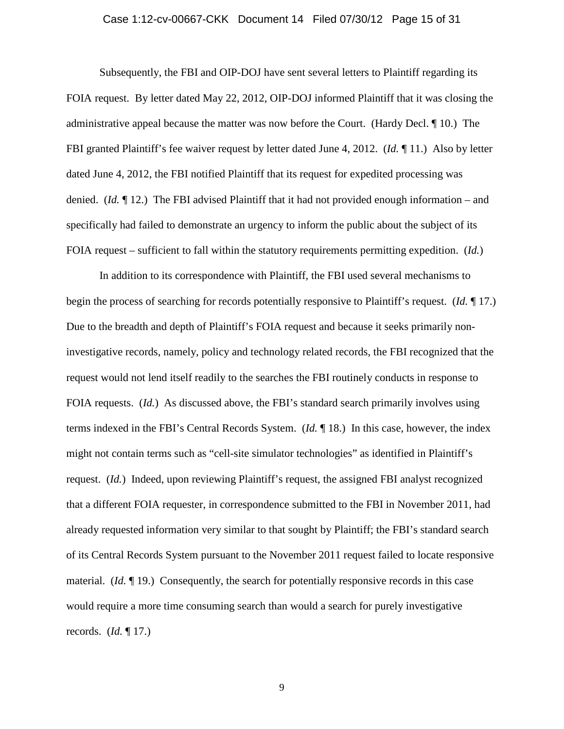#### Case 1:12-cv-00667-CKK Document 14 Filed 07/30/12 Page 15 of 31

Subsequently, the FBI and OIP-DOJ have sent several letters to Plaintiff regarding its FOIA request. By letter dated May 22, 2012, OIP-DOJ informed Plaintiff that it was closing the administrative appeal because the matter was now before the Court. (Hardy Decl. ¶ 10.) The FBI granted Plaintiff's fee waiver request by letter dated June 4, 2012. (*Id.* ¶ 11.) Also by letter dated June 4, 2012, the FBI notified Plaintiff that its request for expedited processing was denied. (*Id.* ¶ 12.) The FBI advised Plaintiff that it had not provided enough information – and specifically had failed to demonstrate an urgency to inform the public about the subject of its FOIA request – sufficient to fall within the statutory requirements permitting expedition. (*Id.*)

In addition to its correspondence with Plaintiff, the FBI used several mechanisms to begin the process of searching for records potentially responsive to Plaintiff's request. (*Id.* ¶ 17.) Due to the breadth and depth of Plaintiff's FOIA request and because it seeks primarily noninvestigative records, namely, policy and technology related records, the FBI recognized that the request would not lend itself readily to the searches the FBI routinely conducts in response to FOIA requests. (*Id.*) As discussed above, the FBI's standard search primarily involves using terms indexed in the FBI's Central Records System. (*Id.* ¶ 18.) In this case, however, the index might not contain terms such as "cell-site simulator technologies" as identified in Plaintiff's request. (*Id.*) Indeed, upon reviewing Plaintiff's request, the assigned FBI analyst recognized that a different FOIA requester, in correspondence submitted to the FBI in November 2011, had already requested information very similar to that sought by Plaintiff; the FBI's standard search of its Central Records System pursuant to the November 2011 request failed to locate responsive material. (*Id.* ¶ 19.) Consequently, the search for potentially responsive records in this case would require a more time consuming search than would a search for purely investigative records. (*Id.* ¶ 17.)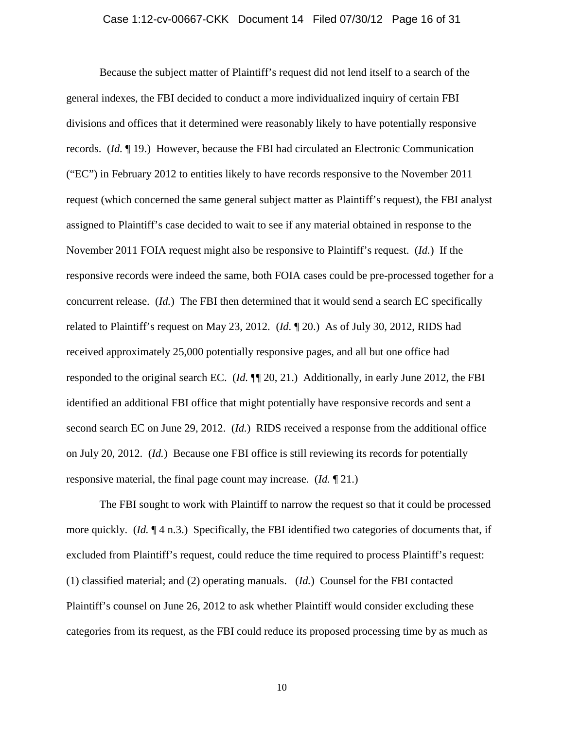#### Case 1:12-cv-00667-CKK Document 14 Filed 07/30/12 Page 16 of 31

Because the subject matter of Plaintiff's request did not lend itself to a search of the general indexes, the FBI decided to conduct a more individualized inquiry of certain FBI divisions and offices that it determined were reasonably likely to have potentially responsive records. (*Id.* ¶ 19.) However, because the FBI had circulated an Electronic Communication ("EC") in February 2012 to entities likely to have records responsive to the November 2011 request (which concerned the same general subject matter as Plaintiff's request), the FBI analyst assigned to Plaintiff's case decided to wait to see if any material obtained in response to the November 2011 FOIA request might also be responsive to Plaintiff's request. (*Id.*) If the responsive records were indeed the same, both FOIA cases could be pre-processed together for a concurrent release. (*Id.*) The FBI then determined that it would send a search EC specifically related to Plaintiff's request on May 23, 2012. (*Id.* ¶ 20.) As of July 30, 2012, RIDS had received approximately 25,000 potentially responsive pages, and all but one office had responded to the original search EC. (*Id.* ¶¶ 20, 21.) Additionally, in early June 2012, the FBI identified an additional FBI office that might potentially have responsive records and sent a second search EC on June 29, 2012. (*Id.*) RIDS received a response from the additional office on July 20, 2012. (*Id.*) Because one FBI office is still reviewing its records for potentially responsive material, the final page count may increase. (*Id.* ¶ 21.)

The FBI sought to work with Plaintiff to narrow the request so that it could be processed more quickly. (*Id.* ¶ 4 n.3.) Specifically, the FBI identified two categories of documents that, if excluded from Plaintiff's request, could reduce the time required to process Plaintiff's request: (1) classified material; and (2) operating manuals. (*Id.*) Counsel for the FBI contacted Plaintiff's counsel on June 26, 2012 to ask whether Plaintiff would consider excluding these categories from its request, as the FBI could reduce its proposed processing time by as much as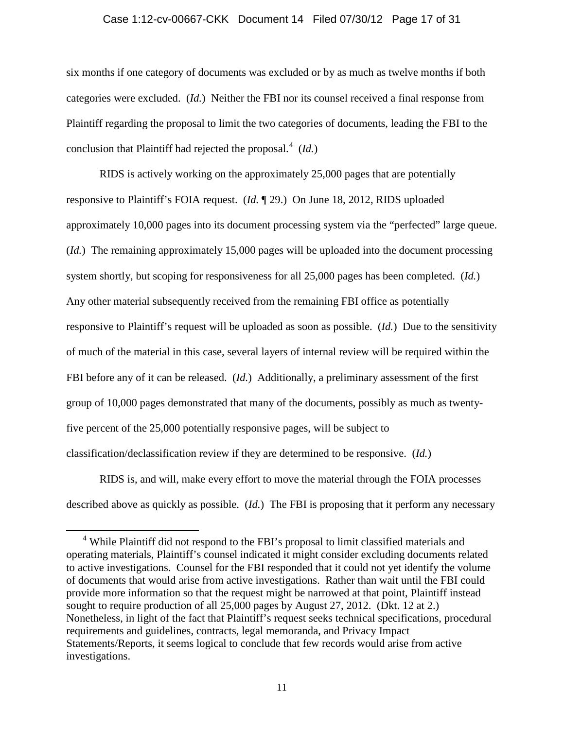#### Case 1:12-cv-00667-CKK Document 14 Filed 07/30/12 Page 17 of 31

six months if one category of documents was excluded or by as much as twelve months if both categories were excluded. (*Id.*) Neither the FBI nor its counsel received a final response from Plaintiff regarding the proposal to limit the two categories of documents, leading the FBI to the conclusion that Plaintiff had rejected the proposal. [4](#page-16-0) (*Id.*)

RIDS is actively working on the approximately 25,000 pages that are potentially responsive to Plaintiff's FOIA request. (*Id.* ¶ 29.) On June 18, 2012, RIDS uploaded approximately 10,000 pages into its document processing system via the "perfected" large queue. (*Id.*) The remaining approximately 15,000 pages will be uploaded into the document processing system shortly, but scoping for responsiveness for all 25,000 pages has been completed. (*Id.*) Any other material subsequently received from the remaining FBI office as potentially responsive to Plaintiff's request will be uploaded as soon as possible. (*Id.*) Due to the sensitivity of much of the material in this case, several layers of internal review will be required within the FBI before any of it can be released. (*Id.*) Additionally, a preliminary assessment of the first group of 10,000 pages demonstrated that many of the documents, possibly as much as twentyfive percent of the 25,000 potentially responsive pages, will be subject to classification/declassification review if they are determined to be responsive. (*Id.*)

RIDS is, and will, make every effort to move the material through the FOIA processes described above as quickly as possible. (*Id.*) The FBI is proposing that it perform any necessary

<span id="page-16-0"></span><sup>&</sup>lt;sup>4</sup> While Plaintiff did not respond to the FBI's proposal to limit classified materials and operating materials, Plaintiff's counsel indicated it might consider excluding documents related to active investigations. Counsel for the FBI responded that it could not yet identify the volume of documents that would arise from active investigations. Rather than wait until the FBI could provide more information so that the request might be narrowed at that point, Plaintiff instead sought to require production of all 25,000 pages by August 27, 2012. (Dkt. 12 at 2.) Nonetheless, in light of the fact that Plaintiff's request seeks technical specifications, procedural requirements and guidelines, contracts, legal memoranda, and Privacy Impact Statements/Reports, it seems logical to conclude that few records would arise from active investigations.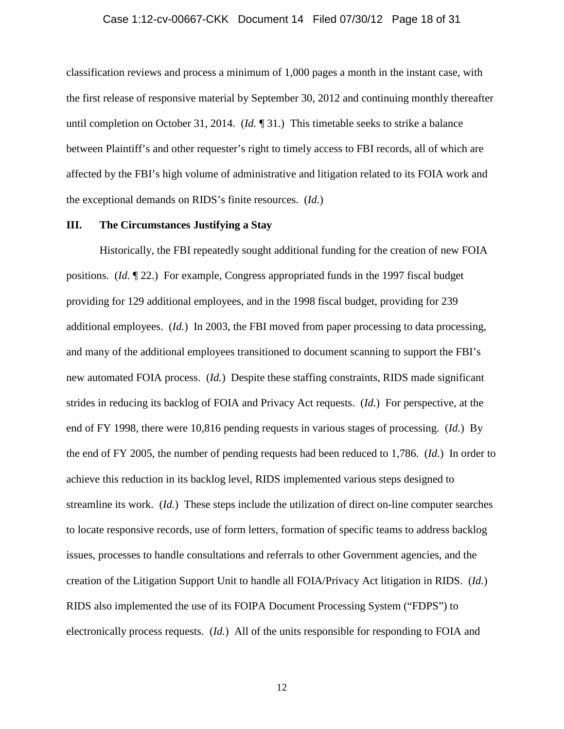#### Case 1:12-cv-00667-CKK Document 14 Filed 07/30/12 Page 18 of 31

classification reviews and process a minimum of 1,000 pages a month in the instant case, with the first release of responsive material by September 30, 2012 and continuing monthly thereafter until completion on October 31, 2014. (*Id.* ¶ 31.) This timetable seeks to strike a balance between Plaintiff's and other requester's right to timely access to FBI records, all of which are affected by the FBI's high volume of administrative and litigation related to its FOIA work and the exceptional demands on RIDS's finite resources. (*Id.*)

#### **III. The Circumstances Justifying a Stay**

Historically, the FBI repeatedly sought additional funding for the creation of new FOIA positions. (*Id.* ¶ 22.) For example, Congress appropriated funds in the 1997 fiscal budget providing for 129 additional employees, and in the 1998 fiscal budget, providing for 239 additional employees. (*Id.*) In 2003, the FBI moved from paper processing to data processing, and many of the additional employees transitioned to document scanning to support the FBI's new automated FOIA process. (*Id.*) Despite these staffing constraints, RIDS made significant strides in reducing its backlog of FOIA and Privacy Act requests. (*Id.*) For perspective, at the end of FY 1998, there were 10,816 pending requests in various stages of processing. (*Id.*) By the end of FY 2005, the number of pending requests had been reduced to 1,786. (*Id.*) In order to achieve this reduction in its backlog level, RIDS implemented various steps designed to streamline its work. (*Id.*) These steps include the utilization of direct on-line computer searches to locate responsive records, use of form letters, formation of specific teams to address backlog issues, processes to handle consultations and referrals to other Government agencies, and the creation of the Litigation Support Unit to handle all FOIA/Privacy Act litigation in RIDS. (*Id.*) RIDS also implemented the use of its FOIPA Document Processing System ("FDPS") to electronically process requests. (*Id.*) All of the units responsible for responding to FOIA and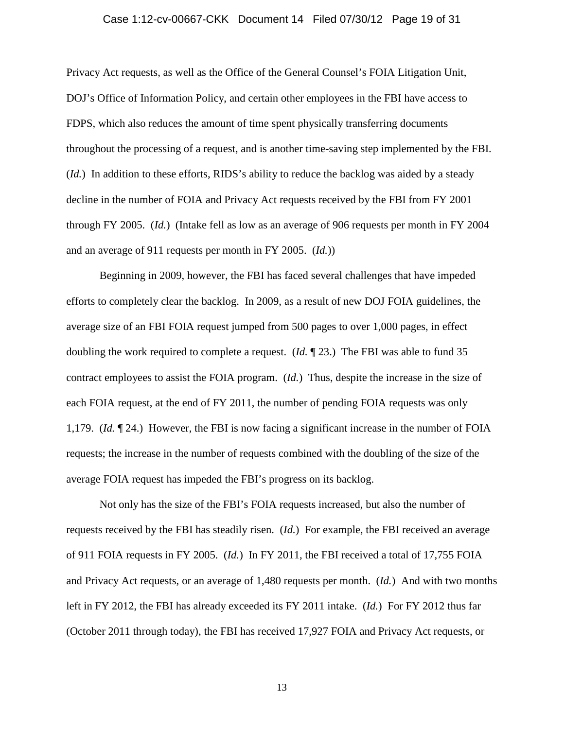#### Case 1:12-cv-00667-CKK Document 14 Filed 07/30/12 Page 19 of 31

Privacy Act requests, as well as the Office of the General Counsel's FOIA Litigation Unit, DOJ's Office of Information Policy, and certain other employees in the FBI have access to FDPS, which also reduces the amount of time spent physically transferring documents throughout the processing of a request, and is another time-saving step implemented by the FBI. (*Id.*) In addition to these efforts, RIDS's ability to reduce the backlog was aided by a steady decline in the number of FOIA and Privacy Act requests received by the FBI from FY 2001 through FY 2005. (*Id.*) (Intake fell as low as an average of 906 requests per month in FY 2004 and an average of 911 requests per month in FY 2005. (*Id.*))

Beginning in 2009, however, the FBI has faced several challenges that have impeded efforts to completely clear the backlog. In 2009, as a result of new DOJ FOIA guidelines, the average size of an FBI FOIA request jumped from 500 pages to over 1,000 pages, in effect doubling the work required to complete a request. (*Id.* ¶ 23.) The FBI was able to fund 35 contract employees to assist the FOIA program. (*Id.*) Thus, despite the increase in the size of each FOIA request, at the end of FY 2011, the number of pending FOIA requests was only 1,179. (*Id.* ¶ 24.) However, the FBI is now facing a significant increase in the number of FOIA requests; the increase in the number of requests combined with the doubling of the size of the average FOIA request has impeded the FBI's progress on its backlog.

Not only has the size of the FBI's FOIA requests increased, but also the number of requests received by the FBI has steadily risen. (*Id.*) For example, the FBI received an average of 911 FOIA requests in FY 2005. (*Id.*) In FY 2011, the FBI received a total of 17,755 FOIA and Privacy Act requests, or an average of 1,480 requests per month. (*Id.*) And with two months left in FY 2012, the FBI has already exceeded its FY 2011 intake. (*Id.*) For FY 2012 thus far (October 2011 through today), the FBI has received 17,927 FOIA and Privacy Act requests, or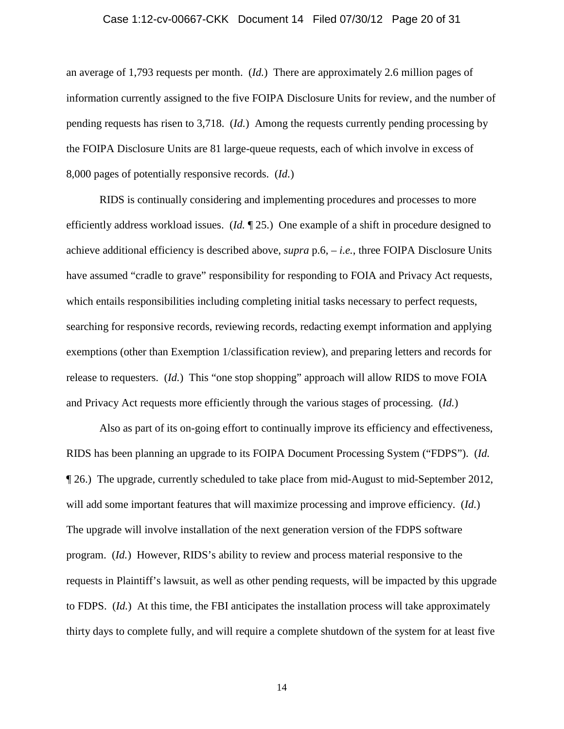#### Case 1:12-cv-00667-CKK Document 14 Filed 07/30/12 Page 20 of 31

an average of 1,793 requests per month. (*Id.*) There are approximately 2.6 million pages of information currently assigned to the five FOIPA Disclosure Units for review, and the number of pending requests has risen to 3,718. (*Id.*) Among the requests currently pending processing by the FOIPA Disclosure Units are 81 large-queue requests, each of which involve in excess of 8,000 pages of potentially responsive records. (*Id.*)

RIDS is continually considering and implementing procedures and processes to more efficiently address workload issues. (*Id.* ¶ 25.) One example of a shift in procedure designed to achieve additional efficiency is described above, *supra* p.6, – *i.e.*, three FOIPA Disclosure Units have assumed "cradle to grave" responsibility for responding to FOIA and Privacy Act requests, which entails responsibilities including completing initial tasks necessary to perfect requests, searching for responsive records, reviewing records, redacting exempt information and applying exemptions (other than Exemption 1/classification review), and preparing letters and records for release to requesters. (*Id.*) This "one stop shopping" approach will allow RIDS to move FOIA and Privacy Act requests more efficiently through the various stages of processing. (*Id.*)

Also as part of its on-going effort to continually improve its efficiency and effectiveness, RIDS has been planning an upgrade to its FOIPA Document Processing System ("FDPS"). (*Id.* ¶ 26.) The upgrade, currently scheduled to take place from mid-August to mid-September 2012, will add some important features that will maximize processing and improve efficiency. (*Id.*) The upgrade will involve installation of the next generation version of the FDPS software program. (*Id.*) However, RIDS's ability to review and process material responsive to the requests in Plaintiff's lawsuit, as well as other pending requests, will be impacted by this upgrade to FDPS. (*Id.*) At this time, the FBI anticipates the installation process will take approximately thirty days to complete fully, and will require a complete shutdown of the system for at least five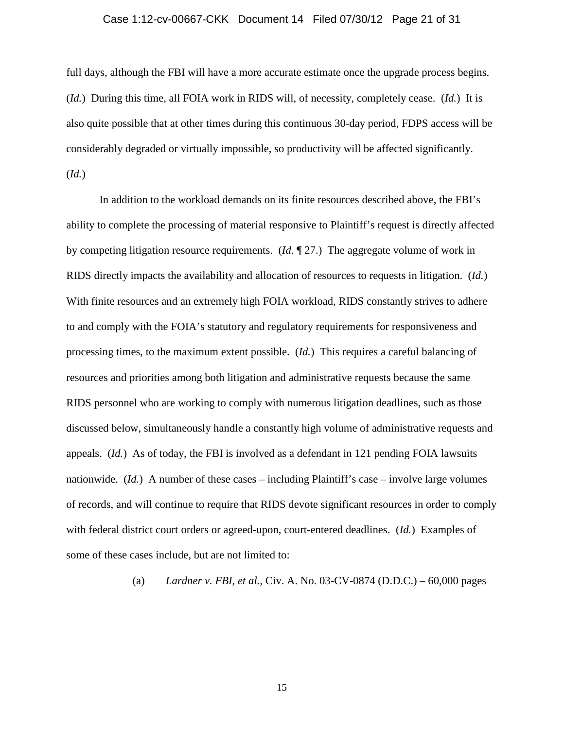#### Case 1:12-cv-00667-CKK Document 14 Filed 07/30/12 Page 21 of 31

full days, although the FBI will have a more accurate estimate once the upgrade process begins. (*Id.*) During this time, all FOIA work in RIDS will, of necessity, completely cease. (*Id.*) It is also quite possible that at other times during this continuous 30-day period, FDPS access will be considerably degraded or virtually impossible, so productivity will be affected significantly. (*Id.*)

In addition to the workload demands on its finite resources described above, the FBI's ability to complete the processing of material responsive to Plaintiff's request is directly affected by competing litigation resource requirements. (*Id.* ¶ 27.) The aggregate volume of work in RIDS directly impacts the availability and allocation of resources to requests in litigation. (*Id.*) With finite resources and an extremely high FOIA workload, RIDS constantly strives to adhere to and comply with the FOIA's statutory and regulatory requirements for responsiveness and processing times, to the maximum extent possible. (*Id.*) This requires a careful balancing of resources and priorities among both litigation and administrative requests because the same RIDS personnel who are working to comply with numerous litigation deadlines, such as those discussed below, simultaneously handle a constantly high volume of administrative requests and appeals. (*Id.*) As of today, the FBI is involved as a defendant in 121 pending FOIA lawsuits nationwide. (*Id.*) A number of these cases – including Plaintiff's case – involve large volumes of records, and will continue to require that RIDS devote significant resources in order to comply with federal district court orders or agreed-upon, court-entered deadlines. (*Id.*) Examples of some of these cases include, but are not limited to:

(a) *Lardner v. FBI, et al.*, Civ. A. No. 03-CV-0874 (D.D.C.) – 60,000 pages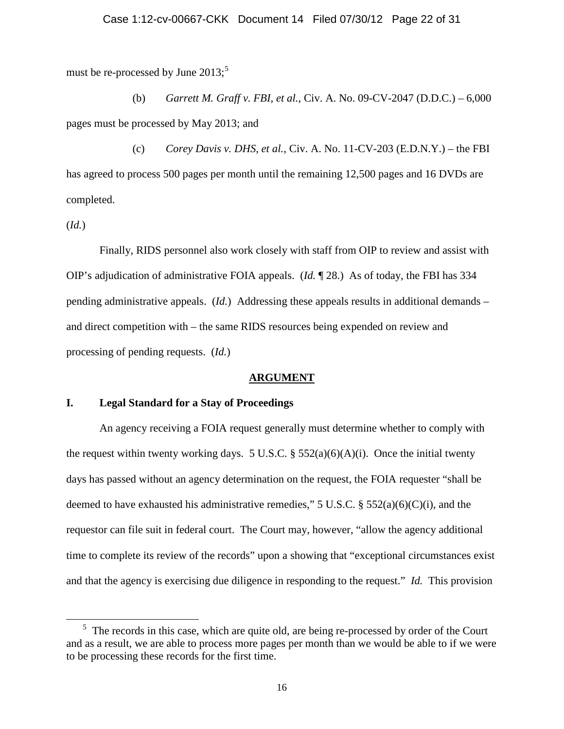must be re-processed by June  $2013$ ;<sup>[5](#page-21-0)</sup>

(b) *Garrett M. Graff v. FBI, et al.*, Civ. A. No. 09-CV-2047 (D.D.C.) – 6,000 pages must be processed by May 2013; and

(c) *Corey Davis v. DHS, et al.*, Civ. A. No. 11-CV-203 (E.D.N.Y.) – the FBI has agreed to process 500 pages per month until the remaining 12,500 pages and 16 DVDs are completed.

(*Id.*)

Finally, RIDS personnel also work closely with staff from OIP to review and assist with OIP's adjudication of administrative FOIA appeals. (*Id.* ¶ 28.) As of today, the FBI has 334 pending administrative appeals. (*Id.*) Addressing these appeals results in additional demands – and direct competition with – the same RIDS resources being expended on review and processing of pending requests. (*Id.*)

#### **ARGUMENT**

## **I. Legal Standard for a Stay of Proceedings**

An agency receiving a FOIA request generally must determine whether to comply with the request within twenty working days. 5 U.S.C.  $\S$  552(a)(6)(A)(i). Once the initial twenty days has passed without an agency determination on the request, the FOIA requester "shall be deemed to have exhausted his administrative remedies," 5 U.S.C.  $\S$  552(a)(6)(C)(i), and the requestor can file suit in federal court. The Court may, however, "allow the agency additional time to complete its review of the records" upon a showing that "exceptional circumstances exist and that the agency is exercising due diligence in responding to the request." *Id.* This provision

<span id="page-21-0"></span><sup>&</sup>lt;sup>5</sup> The records in this case, which are quite old, are being re-processed by order of the Court and as a result, we are able to process more pages per month than we would be able to if we were to be processing these records for the first time.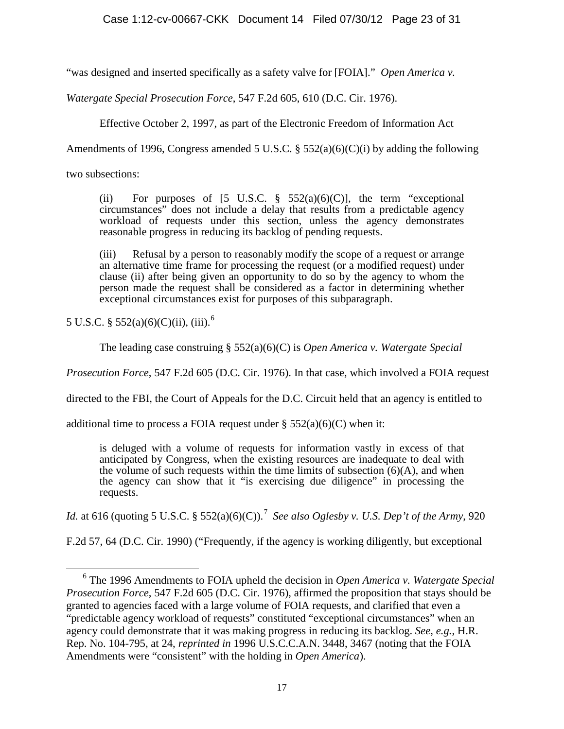"was designed and inserted specifically as a safety valve for [FOIA]." *Open America v.* 

*Watergate Special Prosecution Force*, 547 F.2d 605, 610 (D.C. Cir. 1976).

Effective October 2, 1997, as part of the Electronic Freedom of Information Act

Amendments of 1996, Congress amended 5 U.S.C.  $\S$  552(a)(6)(C)(i) by adding the following

two subsections:

(ii) For purposes of  $[5 \text{ U.S.C. } § 552(a)(6)(C)]$ , the term "exceptional" circumstances" does not include a delay that results from a predictable agency workload of requests under this section, unless the agency demonstrates reasonable progress in reducing its backlog of pending requests.

(iii) Refusal by a person to reasonably modify the scope of a request or arrange an alternative time frame for processing the request (or a modified request) under clause (ii) after being given an opportunity to do so by the agency to whom the person made the request shall be considered as a factor in determining whether exceptional circumstances exist for purposes of this subparagraph.

5 U.S.C. §  $552(a)(6)(C)(ii)$  $552(a)(6)(C)(ii)$  $552(a)(6)(C)(ii)$ , (iii).<sup>6</sup>

The leading case construing § 552(a)(6)(C) is *Open America v. Watergate Special* 

*Prosecution Force*, 547 F.2d 605 (D.C. Cir. 1976). In that case, which involved a FOIA request

directed to the FBI, the Court of Appeals for the D.C. Circuit held that an agency is entitled to

additional time to process a FOIA request under  $\S$  552(a)(6)(C) when it:

is deluged with a volume of requests for information vastly in excess of that anticipated by Congress, when the existing resources are inadequate to deal with the volume of such requests within the time limits of subsection  $(6)(A)$ , and when the agency can show that it "is exercising due diligence" in processing the requests.

*Id.* at 616 (quoting 5 U.S.C. § 552(a)(6)(C)).<sup>[7](#page-22-1)</sup> See also Oglesby v. U.S. Dep't of the Army, 920

F.2d 57, 64 (D.C. Cir. 1990) ("Frequently, if the agency is working diligently, but exceptional

<span id="page-22-1"></span><span id="page-22-0"></span><sup>6</sup> The 1996 Amendments to FOIA upheld the decision in *Open America v. Watergate Special Prosecution Force*, 547 F.2d 605 (D.C. Cir. 1976), affirmed the proposition that stays should be granted to agencies faced with a large volume of FOIA requests, and clarified that even a "predictable agency workload of requests" constituted "exceptional circumstances" when an agency could demonstrate that it was making progress in reducing its backlog. *See, e.g.*, H.R. Rep. No. 104-795, at 24, *reprinted in* 1996 U.S.C.C.A.N. 3448, 3467 (noting that the FOIA Amendments were "consistent" with the holding in *Open America*).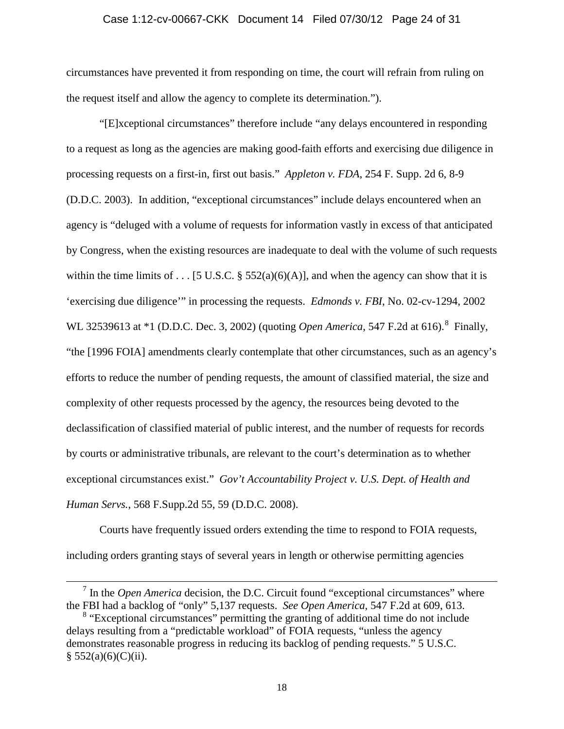#### Case 1:12-cv-00667-CKK Document 14 Filed 07/30/12 Page 24 of 31

circumstances have prevented it from responding on time, the court will refrain from ruling on the request itself and allow the agency to complete its determination.").

"[E]xceptional circumstances" therefore include "any delays encountered in responding to a request as long as the agencies are making good-faith efforts and exercising due diligence in processing requests on a first-in, first out basis." *Appleton v. FDA*, 254 F. Supp. 2d 6, 8-9 (D.D.C. 2003). In addition, "exceptional circumstances" include delays encountered when an agency is "deluged with a volume of requests for information vastly in excess of that anticipated by Congress, when the existing resources are inadequate to deal with the volume of such requests within the time limits of . . . [5 U.S.C. § 552(a)(6)(A)], and when the agency can show that it is 'exercising due diligence'" in processing the requests. *Edmonds v. FBI*, No. 02-cv-1294, 2002 WL 32539613 at \*1 (D.D.C. Dec. 3, 2002) (quoting *Open America*, 547 F.2d at 616).<sup>[8](#page-23-0)</sup> Finally, "the [1996 FOIA] amendments clearly contemplate that other circumstances, such as an agency's efforts to reduce the number of pending requests, the amount of classified material, the size and complexity of other requests processed by the agency, the resources being devoted to the declassification of classified material of public interest, and the number of requests for records by courts or administrative tribunals, are relevant to the court's determination as to whether exceptional circumstances exist." *Gov't Accountability Project v. U.S. Dept. of Health and Human Servs.*, 568 F.Supp.2d 55, 59 (D.D.C. 2008).

Courts have frequently issued orders extending the time to respond to FOIA requests, including orders granting stays of several years in length or otherwise permitting agencies

<sup>7</sup> In the *Open America* decision, the D.C. Circuit found "exceptional circumstances" where the FBI had a backlog of "only" 5,137 requests. *See Open America*, 547 F.2d at 609, 613.

<span id="page-23-0"></span><sup>&</sup>lt;sup>8</sup> "Exceptional circumstances" permitting the granting of additional time do not include delays resulting from a "predictable workload" of FOIA requests, "unless the agency demonstrates reasonable progress in reducing its backlog of pending requests." 5 U.S.C.  $§ 552(a)(6)(C)(ii).$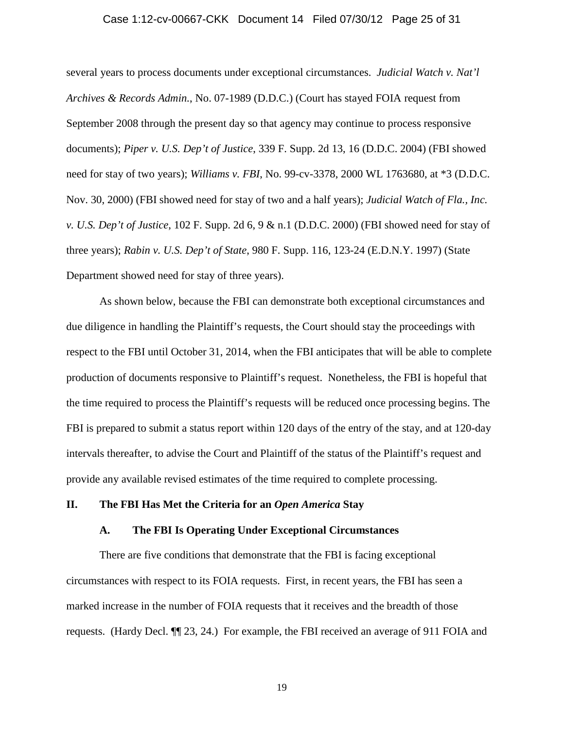#### Case 1:12-cv-00667-CKK Document 14 Filed 07/30/12 Page 25 of 31

several years to process documents under exceptional circumstances. *Judicial Watch v. Nat'l Archives & Records Admin.*, No. 07-1989 (D.D.C.) (Court has stayed FOIA request from September 2008 through the present day so that agency may continue to process responsive documents); *Piper v. U.S. Dep't of Justice*, 339 F. Supp. 2d 13, 16 (D.D.C. 2004) (FBI showed need for stay of two years); *Williams v. FBI*, No. 99-cv-3378, 2000 WL 1763680, at \*3 (D.D.C. Nov. 30, 2000) (FBI showed need for stay of two and a half years); *Judicial Watch of Fla., Inc. v. U.S. Dep't of Justice*, 102 F. Supp. 2d 6, 9 & n.1 (D.D.C. 2000) (FBI showed need for stay of three years); *Rabin v. U.S. Dep't of State*, 980 F. Supp. 116, 123-24 (E.D.N.Y. 1997) (State Department showed need for stay of three years).

As shown below, because the FBI can demonstrate both exceptional circumstances and due diligence in handling the Plaintiff's requests, the Court should stay the proceedings with respect to the FBI until October 31, 2014, when the FBI anticipates that will be able to complete production of documents responsive to Plaintiff's request. Nonetheless, the FBI is hopeful that the time required to process the Plaintiff's requests will be reduced once processing begins. The FBI is prepared to submit a status report within 120 days of the entry of the stay, and at 120-day intervals thereafter, to advise the Court and Plaintiff of the status of the Plaintiff's request and provide any available revised estimates of the time required to complete processing.

## **II. The FBI Has Met the Criteria for an** *Open America* **Stay**

#### **A. The FBI Is Operating Under Exceptional Circumstances**

There are five conditions that demonstrate that the FBI is facing exceptional circumstances with respect to its FOIA requests. First, in recent years, the FBI has seen a marked increase in the number of FOIA requests that it receives and the breadth of those requests. (Hardy Decl. ¶¶ 23, 24.) For example, the FBI received an average of 911 FOIA and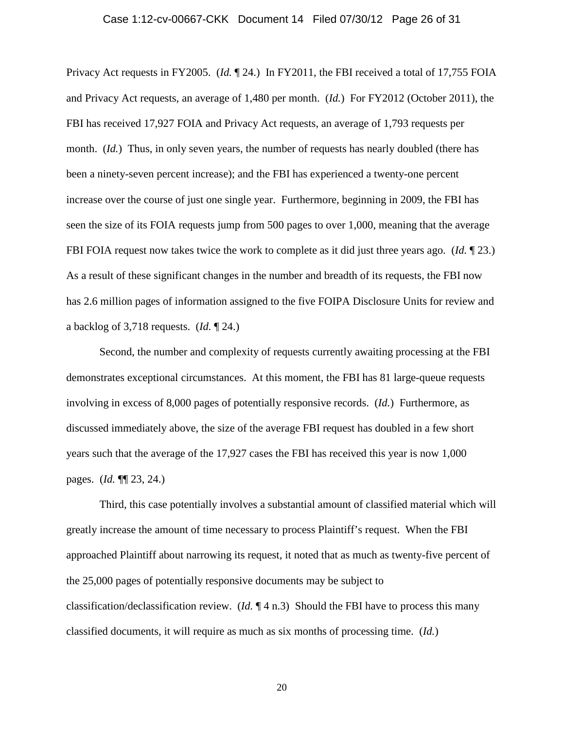#### Case 1:12-cv-00667-CKK Document 14 Filed 07/30/12 Page 26 of 31

Privacy Act requests in FY2005. (*Id.* ¶ 24.) In FY2011, the FBI received a total of 17,755 FOIA and Privacy Act requests, an average of 1,480 per month. (*Id.*) For FY2012 (October 2011), the FBI has received 17,927 FOIA and Privacy Act requests, an average of 1,793 requests per month. (*Id.*) Thus, in only seven years, the number of requests has nearly doubled (there has been a ninety-seven percent increase); and the FBI has experienced a twenty-one percent increase over the course of just one single year. Furthermore, beginning in 2009, the FBI has seen the size of its FOIA requests jump from 500 pages to over 1,000, meaning that the average FBI FOIA request now takes twice the work to complete as it did just three years ago. (*Id.* ¶ 23.) As a result of these significant changes in the number and breadth of its requests, the FBI now has 2.6 million pages of information assigned to the five FOIPA Disclosure Units for review and a backlog of 3,718 requests. (*Id.* ¶ 24.)

Second, the number and complexity of requests currently awaiting processing at the FBI demonstrates exceptional circumstances. At this moment, the FBI has 81 large-queue requests involving in excess of 8,000 pages of potentially responsive records. (*Id.*) Furthermore, as discussed immediately above, the size of the average FBI request has doubled in a few short years such that the average of the 17,927 cases the FBI has received this year is now 1,000 pages. (*Id.* ¶¶ 23, 24.)

Third, this case potentially involves a substantial amount of classified material which will greatly increase the amount of time necessary to process Plaintiff's request. When the FBI approached Plaintiff about narrowing its request, it noted that as much as twenty-five percent of the 25,000 pages of potentially responsive documents may be subject to classification/declassification review. (*Id.* ¶ 4 n.3) Should the FBI have to process this many classified documents, it will require as much as six months of processing time. (*Id.*)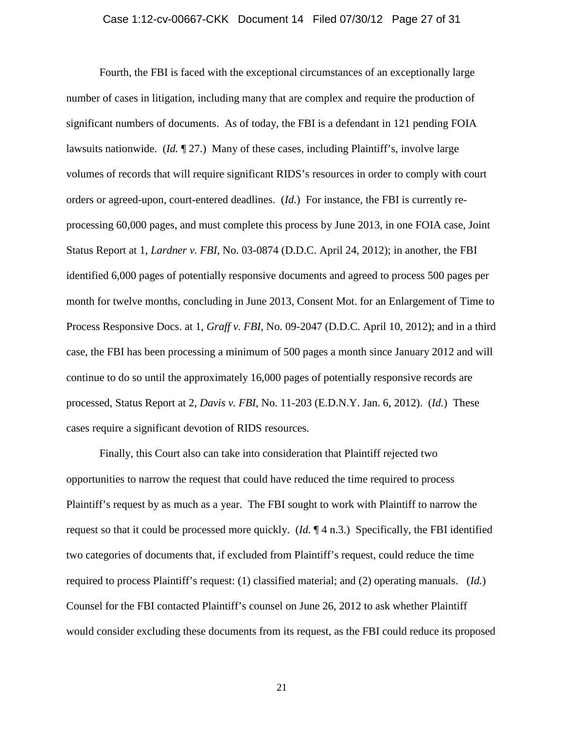#### Case 1:12-cv-00667-CKK Document 14 Filed 07/30/12 Page 27 of 31

Fourth, the FBI is faced with the exceptional circumstances of an exceptionally large number of cases in litigation, including many that are complex and require the production of significant numbers of documents. As of today, the FBI is a defendant in 121 pending FOIA lawsuits nationwide. (*Id.* ¶ 27.) Many of these cases, including Plaintiff's, involve large volumes of records that will require significant RIDS's resources in order to comply with court orders or agreed-upon, court-entered deadlines. (*Id.*) For instance, the FBI is currently reprocessing 60,000 pages, and must complete this process by June 2013, in one FOIA case, Joint Status Report at 1, *Lardner v. FBI*, No. 03-0874 (D.D.C. April 24, 2012); in another, the FBI identified 6,000 pages of potentially responsive documents and agreed to process 500 pages per month for twelve months, concluding in June 2013, Consent Mot. for an Enlargement of Time to Process Responsive Docs. at 1, *Graff v. FBI*, No. 09-2047 (D.D.C. April 10, 2012); and in a third case, the FBI has been processing a minimum of 500 pages a month since January 2012 and will continue to do so until the approximately 16,000 pages of potentially responsive records are processed, Status Report at 2, *Davis v. FBI*, No. 11-203 (E.D.N.Y. Jan. 6, 2012). (*Id.*) These cases require a significant devotion of RIDS resources.

Finally, this Court also can take into consideration that Plaintiff rejected two opportunities to narrow the request that could have reduced the time required to process Plaintiff's request by as much as a year. The FBI sought to work with Plaintiff to narrow the request so that it could be processed more quickly. (*Id.* ¶ 4 n.3.) Specifically, the FBI identified two categories of documents that, if excluded from Plaintiff's request, could reduce the time required to process Plaintiff's request: (1) classified material; and (2) operating manuals. (*Id.*) Counsel for the FBI contacted Plaintiff's counsel on June 26, 2012 to ask whether Plaintiff would consider excluding these documents from its request, as the FBI could reduce its proposed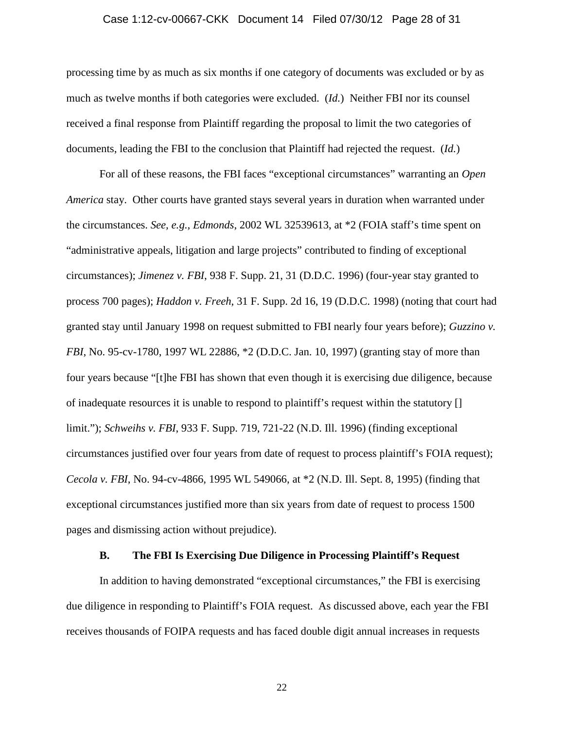#### Case 1:12-cv-00667-CKK Document 14 Filed 07/30/12 Page 28 of 31

processing time by as much as six months if one category of documents was excluded or by as much as twelve months if both categories were excluded. (*Id.*) Neither FBI nor its counsel received a final response from Plaintiff regarding the proposal to limit the two categories of documents, leading the FBI to the conclusion that Plaintiff had rejected the request. (*Id.*)

For all of these reasons, the FBI faces "exceptional circumstances" warranting an *Open America* stay. Other courts have granted stays several years in duration when warranted under the circumstances. *See, e.g., Edmonds*, 2002 WL 32539613, at \*2 (FOIA staff's time spent on "administrative appeals, litigation and large projects" contributed to finding of exceptional circumstances); *Jimenez v. FBI*, 938 F. Supp. 21, 31 (D.D.C. 1996) (four-year stay granted to process 700 pages); *Haddon v. Freeh*, 31 F. Supp. 2d 16, 19 (D.D.C. 1998) (noting that court had granted stay until January 1998 on request submitted to FBI nearly four years before); *Guzzino v. FBI*, No. 95-cv-1780, 1997 WL 22886, \*2 (D.D.C. Jan. 10, 1997) (granting stay of more than four years because "[t]he FBI has shown that even though it is exercising due diligence, because of inadequate resources it is unable to respond to plaintiff's request within the statutory [] limit."); *Schweihs v. FBI*, 933 F. Supp. 719, 721-22 (N.D. Ill. 1996) (finding exceptional circumstances justified over four years from date of request to process plaintiff's FOIA request); *Cecola v. FBI*, No. 94-cv-4866, 1995 WL 549066, at \*2 (N.D. Ill. Sept. 8, 1995) (finding that exceptional circumstances justified more than six years from date of request to process 1500 pages and dismissing action without prejudice).

## **B. The FBI Is Exercising Due Diligence in Processing Plaintiff's Request**

In addition to having demonstrated "exceptional circumstances," the FBI is exercising due diligence in responding to Plaintiff's FOIA request. As discussed above, each year the FBI receives thousands of FOIPA requests and has faced double digit annual increases in requests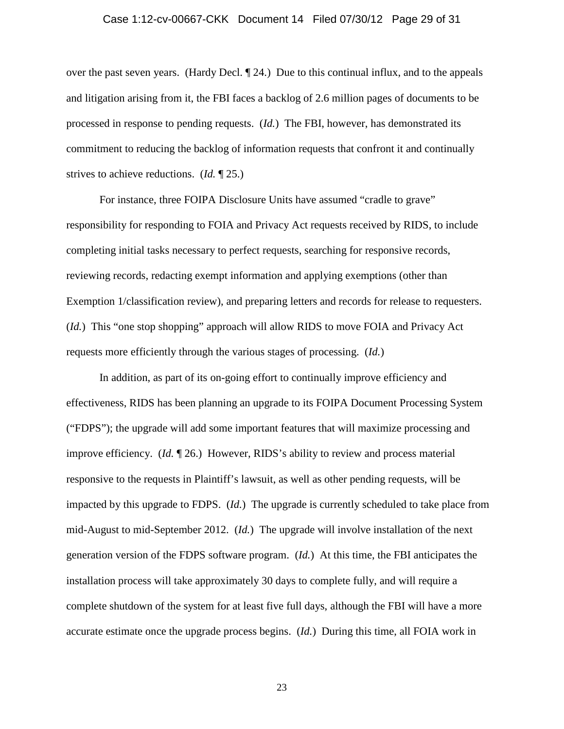#### Case 1:12-cv-00667-CKK Document 14 Filed 07/30/12 Page 29 of 31

over the past seven years. (Hardy Decl. ¶ 24.) Due to this continual influx, and to the appeals and litigation arising from it, the FBI faces a backlog of 2.6 million pages of documents to be processed in response to pending requests. (*Id.*) The FBI, however, has demonstrated its commitment to reducing the backlog of information requests that confront it and continually strives to achieve reductions. (*Id.* ¶ 25.)

For instance, three FOIPA Disclosure Units have assumed "cradle to grave" responsibility for responding to FOIA and Privacy Act requests received by RIDS, to include completing initial tasks necessary to perfect requests, searching for responsive records, reviewing records, redacting exempt information and applying exemptions (other than Exemption 1/classification review), and preparing letters and records for release to requesters. (*Id.*) This "one stop shopping" approach will allow RIDS to move FOIA and Privacy Act requests more efficiently through the various stages of processing. (*Id.*)

In addition, as part of its on-going effort to continually improve efficiency and effectiveness, RIDS has been planning an upgrade to its FOIPA Document Processing System ("FDPS"); the upgrade will add some important features that will maximize processing and improve efficiency. (*Id.* ¶ 26.) However, RIDS's ability to review and process material responsive to the requests in Plaintiff's lawsuit, as well as other pending requests, will be impacted by this upgrade to FDPS. (*Id.*) The upgrade is currently scheduled to take place from mid-August to mid-September 2012. (*Id.*) The upgrade will involve installation of the next generation version of the FDPS software program. (*Id.*) At this time, the FBI anticipates the installation process will take approximately 30 days to complete fully, and will require a complete shutdown of the system for at least five full days, although the FBI will have a more accurate estimate once the upgrade process begins. (*Id.*) During this time, all FOIA work in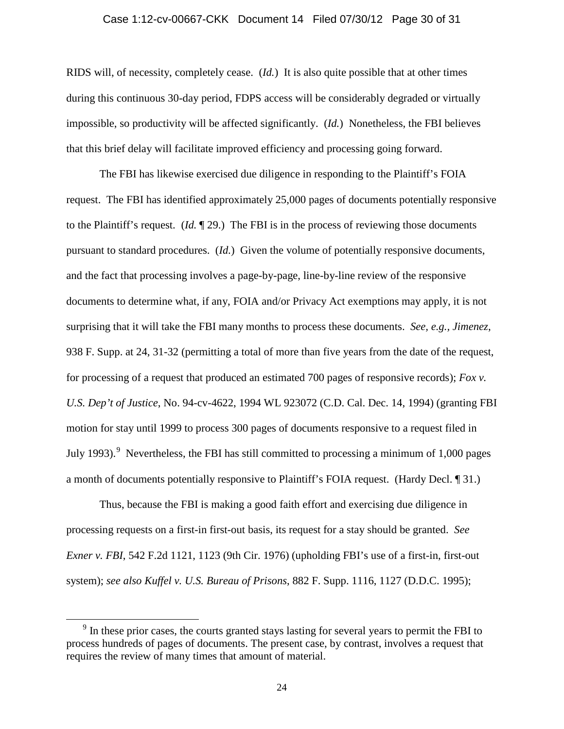#### Case 1:12-cv-00667-CKK Document 14 Filed 07/30/12 Page 30 of 31

RIDS will, of necessity, completely cease. (*Id.*) It is also quite possible that at other times during this continuous 30-day period, FDPS access will be considerably degraded or virtually impossible, so productivity will be affected significantly. (*Id.*) Nonetheless, the FBI believes that this brief delay will facilitate improved efficiency and processing going forward.

The FBI has likewise exercised due diligence in responding to the Plaintiff's FOIA request. The FBI has identified approximately 25,000 pages of documents potentially responsive to the Plaintiff's request. (*Id.* ¶ 29.) The FBI is in the process of reviewing those documents pursuant to standard procedures. (*Id.*) Given the volume of potentially responsive documents, and the fact that processing involves a page-by-page, line-by-line review of the responsive documents to determine what, if any, FOIA and/or Privacy Act exemptions may apply, it is not surprising that it will take the FBI many months to process these documents. *See, e.g., Jimenez*, 938 F. Supp. at 24, 31-32 (permitting a total of more than five years from the date of the request, for processing of a request that produced an estimated 700 pages of responsive records); *Fox v. U.S. Dep't of Justice*, No. 94-cv-4622, 1994 WL 923072 (C.D. Cal. Dec. 14, 1994) (granting FBI motion for stay until 1999 to process 300 pages of documents responsive to a request filed in July 1[9](#page-29-0)93).<sup>9</sup> Nevertheless, the FBI has still committed to processing a minimum of 1,000 pages a month of documents potentially responsive to Plaintiff's FOIA request. (Hardy Decl. ¶ 31.)

Thus, because the FBI is making a good faith effort and exercising due diligence in processing requests on a first-in first-out basis, its request for a stay should be granted. *See Exner v. FBI*, 542 F.2d 1121, 1123 (9th Cir. 1976) (upholding FBI's use of a first-in, first-out system); *see also Kuffel v. U.S. Bureau of Prisons*, 882 F. Supp. 1116, 1127 (D.D.C. 1995);

<span id="page-29-0"></span> $9<sup>9</sup>$  In these prior cases, the courts granted stays lasting for several years to permit the FBI to process hundreds of pages of documents. The present case, by contrast, involves a request that requires the review of many times that amount of material.